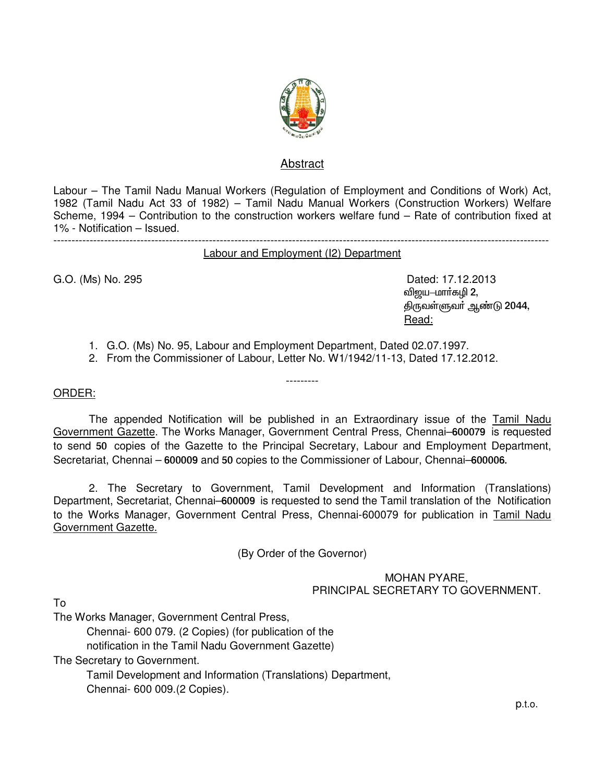

## Abstract

Labour – The Tamil Nadu Manual Workers (Regulation of Employment and Conditions of Work) Act, 1982 (Tamil Nadu Act 33 of 1982) – Tamil Nadu Manual Workers (Construction Workers) Welfare Scheme, 1994 – Contribution to the construction workers welfare fund – Rate of contribution fixed at 1% - Notification – Issued. -----------------------------------------------------------------------------------------------------------------------------------------

Labour and Employment (I2) Department

G.O. (Ms) No. 295 **Dated: 17.12.2013** விஜய $-$ மார்கழி 2, திருவள்ளுவர் ஆண்டு 2044, Read:

- 1. G.O. (Ms) No. 95, Labour and Employment Department, Dated 02.07.1997.
- 2. From the Commissioner of Labour, Letter No. W1/1942/11-13, Dated 17.12.2012.

## ORDER:

The appended Notification will be published in an Extraordinary issue of the Tamil Nadu Government Gazette. The Works Manager, Government Central Press, Chennai–600079 is requested to send 50 copies of the Gazette to the Principal Secretary, Labour and Employment Department, Secretariat, Chennai – 600009 and 50 copies to the Commissioner of Labour, Chennai–600006.

---------

2. The Secretary to Government, Tamil Development and Information (Translations) Department, Secretariat, Chennai–600009 is requested to send the Tamil translation of the Notification to the Works Manager, Government Central Press, Chennai-600079 for publication in Tamil Nadu Government Gazette.

(By Order of the Governor)

MOHAN PYARE, PRINCIPAL SECRETARY TO GOVERNMENT.

To

The Works Manager, Government Central Press,

 Chennai- 600 079. (2 Copies) (for publication of the notification in the Tamil Nadu Government Gazette)

The Secretary to Government.

 Tamil Development and Information (Translations) Department, Chennai- 600 009.(2 Copies).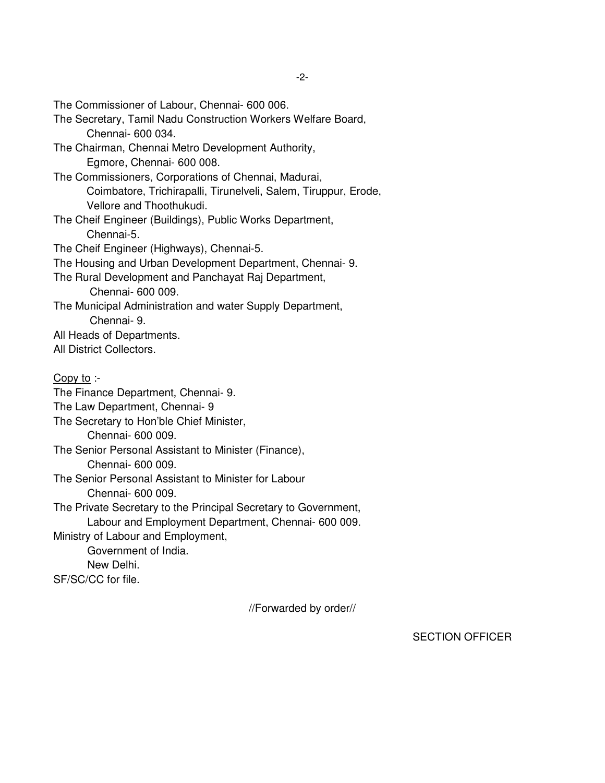The Commissioner of Labour, Chennai- 600 006. The Secretary, Tamil Nadu Construction Workers Welfare Board, Chennai- 600 034. The Chairman, Chennai Metro Development Authority, Egmore, Chennai- 600 008. The Commissioners, Corporations of Chennai, Madurai, Coimbatore, Trichirapalli, Tirunelveli, Salem, Tiruppur, Erode, Vellore and Thoothukudi. The Cheif Engineer (Buildings), Public Works Department, Chennai-5. The Cheif Engineer (Highways), Chennai-5. The Housing and Urban Development Department, Chennai- 9. The Rural Development and Panchayat Raj Department, Chennai- 600 009. The Municipal Administration and water Supply Department, Chennai- 9. All Heads of Departments. All District Collectors. Copy to :- The Finance Department, Chennai- 9. The Law Department, Chennai- 9 The Secretary to Hon'ble Chief Minister, Chennai- 600 009. The Senior Personal Assistant to Minister (Finance), Chennai- 600 009. The Senior Personal Assistant to Minister for Labour Chennai- 600 009. The Private Secretary to the Principal Secretary to Government, Labour and Employment Department, Chennai- 600 009. Ministry of Labour and Employment, Government of India. New Delhi. SF/SC/CC for file.

//Forwarded by order//

SECTION OFFICER